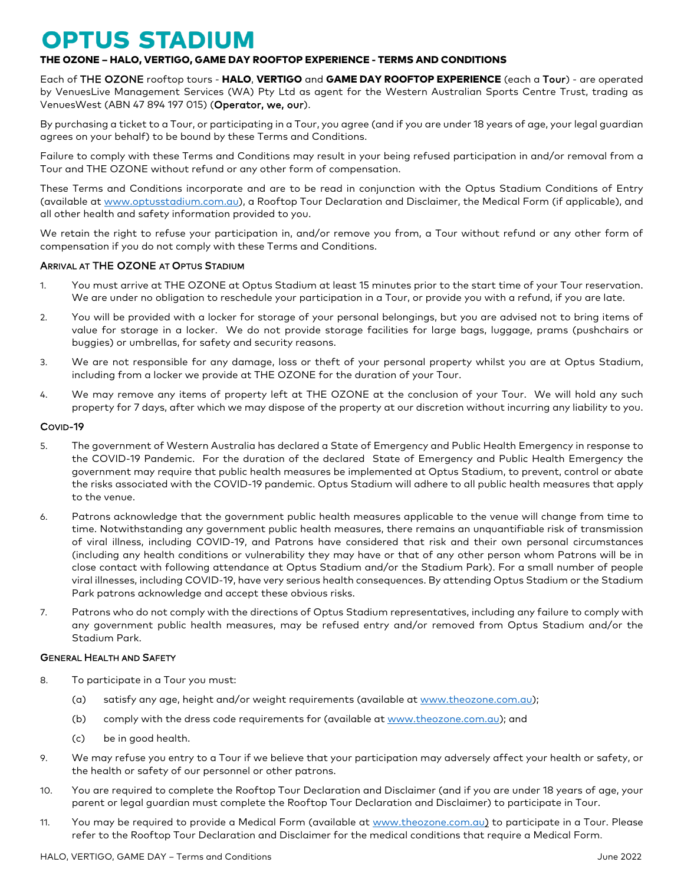# **OPTUS STADIUM**

# THE OZONE – HALO, VERTIGO, GAME DAY ROOFTOP EXPERIENCE - TERMS AND CONDITIONS

Each of THE OZONE rooftop tours - HALO, VERTIGO and GAME DAY ROOFTOP EXPERIENCE (each a Tour) - are operated by VenuesLive Management Services (WA) Pty Ltd as agent for the Western Australian Sports Centre Trust, trading as VenuesWest (ABN 47 894 197 015) (Operator, we, our).

By purchasing a ticket to a Tour, or participating in a Tour, you agree (and if you are under 18 years of age, your legal guardian agrees on your behalf) to be bound by these Terms and Conditions.

Failure to comply with these Terms and Conditions may result in your being refused participation in and/or removal from a Tour and THE OZONE without refund or any other form of compensation.

These Terms and Conditions incorporate and are to be read in conjunction with the Optus Stadium Conditions of Entry (available at [www.optusstadium.com.au\)](http://www.optusstadium.com.au/), a Rooftop Tour Declaration and Disclaimer, the Medical Form (if applicable), and all other health and safety information provided to you.

We retain the right to refuse your participation in, and/or remove you from, a Tour without refund or any other form of compensation if you do not comply with these Terms and Conditions.

# ARRIVAL AT THE OZONE AT OPTUS STADIUM

- 1. You must arrive at THE OZONE at Optus Stadium at least 15 minutes prior to the start time of your Tour reservation. We are under no obligation to reschedule your participation in a Tour, or provide you with a refund, if you are late.
- 2. You will be provided with a locker for storage of your personal belongings, but you are advised not to bring items of value for storage in a locker. We do not provide storage facilities for large bags, luggage, prams (pushchairs or buggies) or umbrellas, for safety and security reasons.
- 3. We are not responsible for any damage, loss or theft of your personal property whilst you are at Optus Stadium, including from a locker we provide at THE OZONE for the duration of your Tour.
- 4. We may remove any items of property left at THE OZONE at the conclusion of your Tour. We will hold any such property for 7 days, after which we may dispose of the property at our discretion without incurring any liability to you.

## COVID-19

- 5. The government of Western Australia has declared a State of Emergency and Public Health Emergency in response to the COVID-19 Pandemic. For the duration of the declared State of Emergency and Public Health Emergency the government may require that public health measures be implemented at Optus Stadium, to prevent, control or abate the risks associated with the COVID-19 pandemic. Optus Stadium will adhere to all public health measures that apply to the venue.
- 6. Patrons acknowledge that the government public health measures applicable to the venue will change from time to time. Notwithstanding any government public health measures, there remains an unquantifiable risk of transmission of viral illness, including COVID-19, and Patrons have considered that risk and their own personal circumstances (including any health conditions or vulnerability they may have or that of any other person whom Patrons will be in close contact with following attendance at Optus Stadium and/or the Stadium Park). For a small number of people viral illnesses, including COVID-19, have very serious health consequences. By attending Optus Stadium or the Stadium Park patrons acknowledge and accept these obvious risks.
- 7. Patrons who do not comply with the directions of Optus Stadium representatives, including any failure to comply with any government public health measures, may be refused entry and/or removed from Optus Stadium and/or the Stadium Park.

# GENERAL HEALTH AND SAFETY

- 8. To participate in a Tour you must:
	- (a) satisfy any age, height and/or weight requirements (available at [www.theozone.com.au\)](http://www.theozone.com.au/);
	- (b) comply with the dress code requirements for (available at [www.theozone.com.au\)](http://www.theozone.com.au/); and
	- (c) be in good health.
- 9. We may refuse you entry to a Tour if we believe that your participation may adversely affect your health or safety, or the health or safety of our personnel or other patrons.
- 10. You are required to complete the Rooftop Tour Declaration and Disclaimer (and if you are under 18 years of age, your parent or legal guardian must complete the Rooftop Tour Declaration and Disclaimer) to participate in Tour.
- 11. You may be required to provide a Medical Form (available at [www.theozone.com.au\)](http://www.theozone.com.au/) to participate in a Tour. Please refer to the Rooftop Tour Declaration and Disclaimer for the medical conditions that require a Medical Form.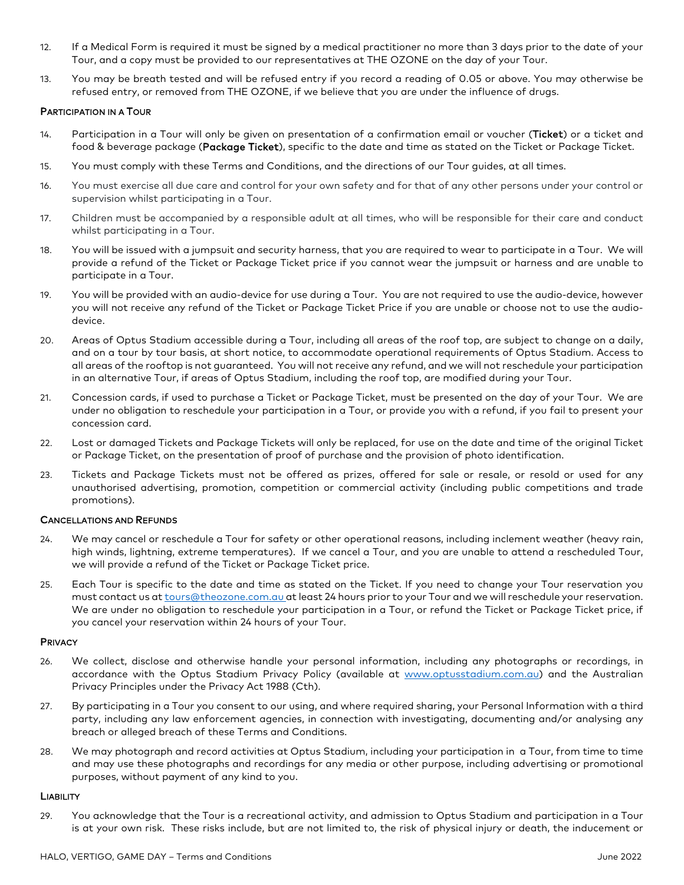- 12. If a Medical Form is required it must be signed by a medical practitioner no more than 3 days prior to the date of your Tour, and a copy must be provided to our representatives at THE OZONE on the day of your Tour.
- 13. You may be breath tested and will be refused entry if you record a reading of 0.05 or above. You may otherwise be refused entry, or removed from THE OZONE, if we believe that you are under the influence of drugs.

## PARTICIPATION IN A TOUR

- 14. Participation in a Tour will only be given on presentation of a confirmation email or voucher (Ticket) or a ticket and food & beverage package (Package Ticket), specific to the date and time as stated on the Ticket or Package Ticket.
- 15. You must comply with these Terms and Conditions, and the directions of our Tour guides, at all times.
- 16. You must exercise all due care and control for your own safety and for that of any other persons under your control or supervision whilst participating in a Tour.
- 17. Children must be accompanied by a responsible adult at all times, who will be responsible for their care and conduct whilst participating in a Tour.
- 18. You will be issued with a jumpsuit and security harness, that you are required to wear to participate in a Tour. We will provide a refund of the Ticket or Package Ticket price if you cannot wear the jumpsuit or harness and are unable to participate in a Tour.
- 19. You will be provided with an audio-device for use during a Tour. You are not required to use the audio-device, however you will not receive any refund of the Ticket or Package Ticket Price if you are unable or choose not to use the audiodevice.
- 20. Areas of Optus Stadium accessible during a Tour, including all areas of the roof top, are subject to change on a daily, and on a tour by tour basis, at short notice, to accommodate operational requirements of Optus Stadium. Access to all areas of the rooftop is not guaranteed. You will not receive any refund, and we will not reschedule your participation in an alternative Tour, if areas of Optus Stadium, including the roof top, are modified during your Tour.
- 21. Concession cards, if used to purchase a Ticket or Package Ticket, must be presented on the day of your Tour. We are under no obligation to reschedule your participation in a Tour, or provide you with a refund, if you fail to present your concession card.
- 22. Lost or damaged Tickets and Package Tickets will only be replaced, for use on the date and time of the original Ticket or Package Ticket, on the presentation of proof of purchase and the provision of photo identification.
- 23. Tickets and Package Tickets must not be offered as prizes, offered for sale or resale, or resold or used for any unauthorised advertising, promotion, competition or commercial activity (including public competitions and trade promotions).

#### CANCELLATIONS AND REFUNDS

- 24. We may cancel or reschedule a Tour for safety or other operational reasons, including inclement weather (heavy rain, high winds, lightning, extreme temperatures). If we cancel a Tour, and you are unable to attend a rescheduled Tour, we will provide a refund of the Ticket or Package Ticket price.
- 25. Each Tour is specific to the date and time as stated on the Ticket. If you need to change your Tour reservation you must contact us at [tours@theozone.com.au](mailto:tours@theozone.com.au) at least 24 hours prior to your Tour and we will reschedule your reservation. We are under no obligation to reschedule your participation in a Tour, or refund the Ticket or Package Ticket price, if you cancel your reservation within 24 hours of your Tour.

#### **PRIVACY**

- 26. We collect, disclose and otherwise handle your personal information, including any photographs or recordings, in accordance with the Optus Stadium Privacy Policy (available at [www.optusstadium.com.au\)](http://www.optusstadium.com.au/) and the Australian Privacy Principles under the Privacy Act 1988 (Cth).
- 27. By participating in a Tour you consent to our using, and where required sharing, your Personal Information with a third party, including any law enforcement agencies, in connection with investigating, documenting and/or analysing any breach or alleged breach of these Terms and Conditions.
- 28. We may photograph and record activities at Optus Stadium, including your participation in a Tour, from time to time and may use these photographs and recordings for any media or other purpose, including advertising or promotional purposes, without payment of any kind to you.

#### **LIABILITY**

29. You acknowledge that the Tour is a recreational activity, and admission to Optus Stadium and participation in a Tour is at your own risk. These risks include, but are not limited to, the risk of physical injury or death, the inducement or